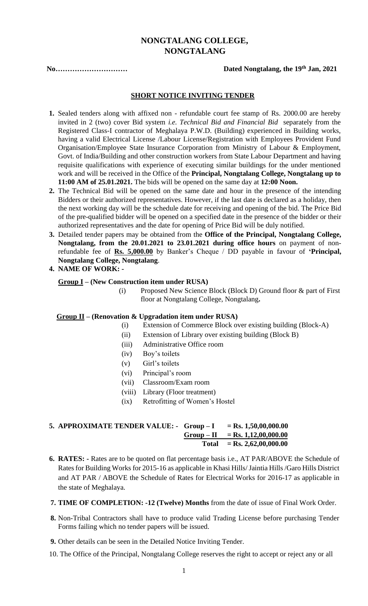# **NONGTALANG COLLEGE, NONGTALANG**

**No.............................** 

#### Dated Nongtalang, the 19<sup>th</sup> Jan, 2021

## **SHORT NOTICE INVITING TENDER**

- **1.** Sealed tenders along with affixed non refundable court fee stamp of Rs. 2000.00 are hereby invited in 2 (two) cover Bid system *i.e. Technical Bid and Financial Bid* separately from the Registered Class-I contractor of Meghalaya P.W.D. (Building) experienced in Building works, having a valid Electrical License /Labour License/Registration with Employees Provident Fund Organisation/Employee State Insurance Corporation from Ministry of Labour & Employment, Govt. of India/Building and other construction workers from State Labour Department and having requisite qualifications with experience of executing similar buildings for the under mentioned work and will be received in the Office of the **Principal, Nongtalang College, Nongtalang up to 11:00 AM of 25.01.2021.** The bids will be opened on the same day at **12:00 Noon.**
- **2.** The Technical Bid will be opened on the same date and hour in the presence of the intending Bidders or their authorized representatives. However, if the last date is declared as a holiday, then the next working day will be the schedule date for receiving and opening of the bid. The Price Bid of the pre-qualified bidder will be opened on a specified date in the presence of the bidder or their authorized representatives and the date for opening of Price Bid will be duly notified.
- **3.** Detailed tender papers may be obtained from the **Office of the Principal, Nongtalang College, Nongtalang, from the 20.01.2021 to 23.01.2021 during office hours** on payment of nonrefundable fee of **Rs. 5,000.00** by Banker's Cheque / DD payable in favour of **'Principal, Nongtalang College, Nongtalang**.
- **4. NAME OF WORK: -**

### **Group I – (New Construction item under RUSA)**

(i) Proposed New Science Block (Block D) Ground floor & part of First floor at Nongtalang College, Nongtalang**.**

#### **Group II – (Renovation & Upgradation item under RUSA)**

- (i) Extension of Commerce Block over existing building (Block-A)
- (ii) Extension of Library over existing building (Block B)
- (iii) Administrative Office room
- (iv) Boy's toilets
- (v) Girl's toilets
- (vi) Principal's room
- (vii) Classroom/Exam room
- (viii) Library (Floor treatment)
- (ix) Retrofitting of Women's Hostel

## **5. APPROXIMATE TENDER VALUE: - Group – I = Rs. 1,50,00,000.00**  $Group - II = Rs. 1,12,00,000.00$ **Total = Rs. 2,62,00,000.00**

- **6. RATES: -** Rates are to be quoted on flat percentage basis i.e., AT PAR/ABOVE the Schedule of Ratesfor Building Works for 2015-16 as applicable in Khasi Hills/ Jaintia Hills /Garo Hills District and AT PAR / ABOVE the Schedule of Rates for Electrical Works for 2016-17 as applicable in the state of Meghalaya.
- **7. TIME OF COMPLETION: -12 (Twelve) Months** from the date of issue of Final Work Order.
- **8.** Non-Tribal Contractors shall have to produce valid Trading License before purchasing Tender Forms failing which no tender papers will be issued.
- **9.** Other details can be seen in the Detailed Notice Inviting Tender.
- 10. The Office of the Principal, Nongtalang College reserves the right to accept or reject any or all